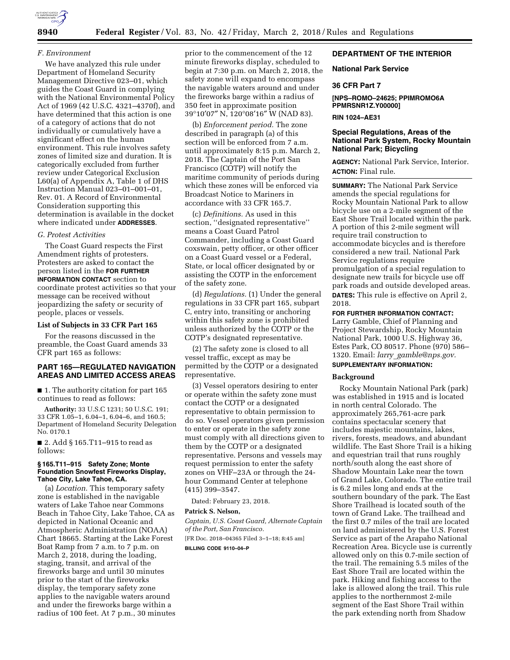

#### *F. Environment*

We have analyzed this rule under Department of Homeland Security Management Directive 023–01, which guides the Coast Guard in complying with the National Environmental Policy Act of 1969 (42 U.S.C. 4321–4370f), and have determined that this action is one of a category of actions that do not individually or cumulatively have a significant effect on the human environment. This rule involves safety zones of limited size and duration. It is categorically excluded from further review under Categorical Exclusion L60(a) of Appendix A, Table 1 of DHS Instruction Manual 023–01–001–01, Rev. 01. A Record of Environmental Consideration supporting this determination is available in the docket where indicated under **ADDRESSES**.

### *G. Protest Activities*

The Coast Guard respects the First Amendment rights of protesters. Protesters are asked to contact the person listed in the **FOR FURTHER INFORMATION CONTACT** section to coordinate protest activities so that your message can be received without jeopardizing the safety or security of people, places or vessels.

#### **List of Subjects in 33 CFR Part 165**

For the reasons discussed in the preamble, the Coast Guard amends 33 CFR part 165 as follows:

### **PART 165—REGULATED NAVIGATION AREAS AND LIMITED ACCESS AREAS**

■ 1. The authority citation for part 165 continues to read as follows:

**Authority:** 33 U.S.C 1231; 50 U.S.C. 191; 33 CFR 1.05–1, 6.04–1, 6.04–6, and 160.5; Department of Homeland Security Delegation No. 0170.1

■ 2. Add § 165.T11–915 to read as follows:

#### **§ 165.T11–915 Safety Zone; Monte Foundation Snowfest Fireworks Display, Tahoe City, Lake Tahoe, CA.**

(a) *Location.* This temporary safety zone is established in the navigable waters of Lake Tahoe near Commons Beach in Tahoe City, Lake Tahoe, CA as depicted in National Oceanic and Atmospheric Administration (NOAA) Chart 18665. Starting at the Lake Forest Boat Ramp from 7 a.m. to 7 p.m. on March 2, 2018, during the loading, staging, transit, and arrival of the fireworks barge and until 30 minutes prior to the start of the fireworks display, the temporary safety zone applies to the navigable waters around and under the fireworks barge within a radius of 100 feet. At 7 p.m., 30 minutes prior to the commencement of the 12 minute fireworks display, scheduled to begin at 7:30 p.m. on March 2, 2018, the safety zone will expand to encompass the navigable waters around and under the fireworks barge within a radius of 350 feet in approximate position 39°10′07″ N, 120°08′16″ W (NAD 83).

(b) *Enforcement period.* The zone described in paragraph (a) of this section will be enforced from 7 a.m. until approximately 8:15 p.m. March 2, 2018. The Captain of the Port San Francisco (COTP) will notify the maritime community of periods during which these zones will be enforced via Broadcast Notice to Mariners in accordance with 33 CFR 165.7.

(c) *Definitions.* As used in this section, ''designated representative'' means a Coast Guard Patrol Commander, including a Coast Guard coxswain, petty officer, or other officer on a Coast Guard vessel or a Federal, State, or local officer designated by or assisting the COTP in the enforcement of the safety zone.

(d) *Regulations.* (1) Under the general regulations in 33 CFR part 165, subpart C, entry into, transiting or anchoring within this safety zone is prohibited unless authorized by the COTP or the COTP's designated representative.

(2) The safety zone is closed to all vessel traffic, except as may be permitted by the COTP or a designated representative.

(3) Vessel operators desiring to enter or operate within the safety zone must contact the COTP or a designated representative to obtain permission to do so. Vessel operators given permission to enter or operate in the safety zone must comply with all directions given to them by the COTP or a designated representative. Persons and vessels may request permission to enter the safety zones on VHF–23A or through the 24 hour Command Center at telephone (415) 399–3547.

Dated: February 23, 2018.

#### **Patrick S. Nelson,**

*Captain, U.S. Coast Guard, Alternate Captain of the Port, San Francisco.* 

[FR Doc. 2018–04365 Filed 3–1–18; 8:45 am] **BILLING CODE 9110–04–P** 

# **DEPARTMENT OF THE INTERIOR**

### **National Park Service**

### **36 CFR Part 7**

**[NPS–ROMO–24625; PPIMROMO6A PPMRSNR1Z.Y00000]** 

# **RIN 1024–AE31**

# **Special Regulations, Areas of the National Park System, Rocky Mountain National Park; Bicycling**

**AGENCY:** National Park Service, Interior. **ACTION:** Final rule.

**SUMMARY:** The National Park Service amends the special regulations for Rocky Mountain National Park to allow bicycle use on a 2-mile segment of the East Shore Trail located within the park. A portion of this 2-mile segment will require trail construction to accommodate bicycles and is therefore considered a new trail. National Park Service regulations require promulgation of a special regulation to designate new trails for bicycle use off park roads and outside developed areas. **DATES:** This rule is effective on April 2, 2018.

# **FOR FURTHER INFORMATION CONTACT:**

Larry Gamble, Chief of Planning and Project Stewardship, Rocky Mountain National Park, 1000 U.S. Highway 36, Estes Park, CO 80517. Phone (970) 586– 1320. Email: *larry*\_*[gamble@nps.gov.](mailto:larry_gamble@nps.gov)* 

# **SUPPLEMENTARY INFORMATION:**

### **Background**

Rocky Mountain National Park (park) was established in 1915 and is located in north central Colorado. The approximately 265,761-acre park contains spectacular scenery that includes majestic mountains, lakes, rivers, forests, meadows, and abundant wildlife. The East Shore Trail is a hiking and equestrian trail that runs roughly north/south along the east shore of Shadow Mountain Lake near the town of Grand Lake, Colorado. The entire trail is 6.2 miles long and ends at the southern boundary of the park. The East Shore Trailhead is located south of the town of Grand Lake. The trailhead and the first 0.7 miles of the trail are located on land administered by the U.S. Forest Service as part of the Arapaho National Recreation Area. Bicycle use is currently allowed only on this 0.7-mile section of the trail. The remaining 5.5 miles of the East Shore Trail are located within the park. Hiking and fishing access to the lake is allowed along the trail. This rule applies to the northernmost 2-mile segment of the East Shore Trail within the park extending north from Shadow

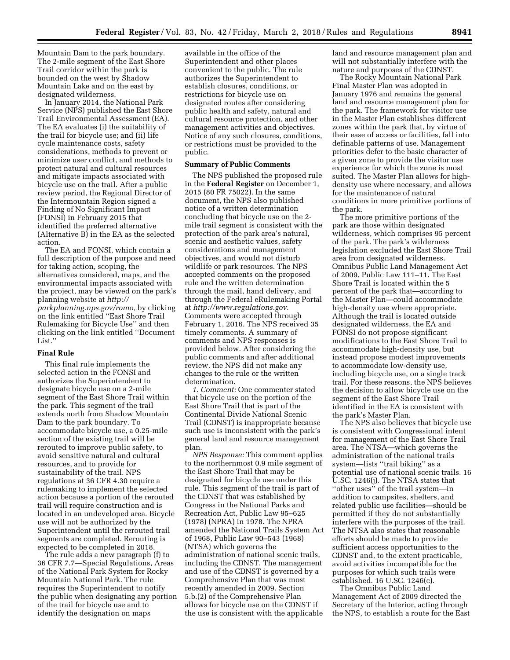Mountain Dam to the park boundary. The 2-mile segment of the East Shore Trail corridor within the park is bounded on the west by Shadow Mountain Lake and on the east by designated wilderness.

In January 2014, the National Park Service (NPS) published the East Shore Trail Environmental Assessment (EA). The EA evaluates (i) the suitability of the trail for bicycle use; and (ii) life cycle maintenance costs, safety considerations, methods to prevent or minimize user conflict, and methods to protect natural and cultural resources and mitigate impacts associated with bicycle use on the trail. After a public review period, the Regional Director of the Intermountain Region signed a Finding of No Significant Impact (FONSI) in February 2015 that identified the preferred alternative (Alternative B) in the EA as the selected action.

The EA and FONSI, which contain a full description of the purpose and need for taking action, scoping, the alternatives considered, maps, and the environmental impacts associated with the project, may be viewed on the park's planning website at *[http://](http://parkplanning.nps.gov/romo) [parkplanning.nps.gov/romo,](http://parkplanning.nps.gov/romo)* by clicking on the link entitled ''East Shore Trail Rulemaking for Bicycle Use'' and then clicking on the link entitled ''Document List.''

#### **Final Rule**

This final rule implements the selected action in the FONSI and authorizes the Superintendent to designate bicycle use on a 2-mile segment of the East Shore Trail within the park. This segment of the trail extends north from Shadow Mountain Dam to the park boundary. To accommodate bicycle use, a 0.25-mile section of the existing trail will be rerouted to improve public safety, to avoid sensitive natural and cultural resources, and to provide for sustainability of the trail. NPS regulations at 36 CFR 4.30 require a rulemaking to implement the selected action because a portion of the rerouted trail will require construction and is located in an undeveloped area. Bicycle use will not be authorized by the Superintendent until the rerouted trail segments are completed. Rerouting is expected to be completed in 2018.

The rule adds a new paragraph (f) to 36 CFR 7.7—Special Regulations, Areas of the National Park System for Rocky Mountain National Park. The rule requires the Superintendent to notify the public when designating any portion of the trail for bicycle use and to identify the designation on maps

available in the office of the Superintendent and other places convenient to the public. The rule authorizes the Superintendent to establish closures, conditions, or restrictions for bicycle use on designated routes after considering public health and safety, natural and cultural resource protection, and other management activities and objectives. Notice of any such closures, conditions, or restrictions must be provided to the public.

#### **Summary of Public Comments**

The NPS published the proposed rule in the **Federal Register** on December 1, 2015 (80 FR 75022). In the same document, the NPS also published notice of a written determination concluding that bicycle use on the 2 mile trail segment is consistent with the protection of the park area's natural, scenic and aesthetic values, safety considerations and management objectives, and would not disturb wildlife or park resources. The NPS accepted comments on the proposed rule and the written determination through the mail, hand delivery, and through the Federal eRulemaking Portal at *[http://www.regulations.gov.](http://www.regulations.gov)*  Comments were accepted through February 1, 2016. The NPS received 35 timely comments. A summary of comments and NPS responses is provided below. After considering the public comments and after additional review, the NPS did not make any changes to the rule or the written determination.

*1. Comment:* One commenter stated that bicycle use on the portion of the East Shore Trail that is part of the Continental Divide National Scenic Trail (CDNST) is inappropriate because such use is inconsistent with the park's general land and resource management plan.

*NPS Response:* This comment applies to the northernmost 0.9 mile segment of the East Shore Trail that may be designated for bicycle use under this rule. This segment of the trail is part of the CDNST that was established by Congress in the National Parks and Recreation Act, Public Law 95–625 (1978) (NPRA) in 1978. The NPRA amended the National Trails System Act of 1968, Public Law 90–543 (1968) (NTSA) which governs the administration of national scenic trails, including the CDNST. The management and use of the CDNST is governed by a Comprehensive Plan that was most recently amended in 2009. Section 5.b.(2) of the Comprehensive Plan allows for bicycle use on the CDNST if the use is consistent with the applicable

land and resource management plan and will not substantially interfere with the nature and purposes of the CDNST.

The Rocky Mountain National Park Final Master Plan was adopted in January 1976 and remains the general land and resource management plan for the park. The framework for visitor use in the Master Plan establishes different zones within the park that, by virtue of their ease of access or facilities, fall into definable patterns of use. Management priorities defer to the basic character of a given zone to provide the visitor use experience for which the zone is most suited. The Master Plan allows for highdensity use where necessary, and allows for the maintenance of natural conditions in more primitive portions of the park.

The more primitive portions of the park are those within designated wilderness, which comprises 95 percent of the park. The park's wilderness legislation excluded the East Shore Trail area from designated wilderness. Omnibus Public Land Management Act of 2009, Public Law 111–11. The East Shore Trail is located within the 5 percent of the park that—according to the Master Plan—could accommodate high-density use where appropriate. Although the trail is located outside designated wilderness, the EA and FONSI do not propose significant modifications to the East Shore Trail to accommodate high-density use, but instead propose modest improvements to accommodate low-density use, including bicycle use, on a single track trail. For these reasons, the NPS believes the decision to allow bicycle use on the segment of the East Shore Trail identified in the EA is consistent with the park's Master Plan.

The NPS also believes that bicycle use is consistent with Congressional intent for management of the East Shore Trail area. The NTSA—which governs the administration of the national trails system—lists ''trail biking'' as a potential use of national scenic trails. 16 U.SC. 1246(j). The NTSA states that ''other uses'' of the trail system—in addition to campsites, shelters, and related public use facilities—should be permitted if they do not substantially interfere with the purposes of the trail. The NTSA also states that reasonable efforts should be made to provide sufficient access opportunities to the CDNST and, to the extent practicable, avoid activities incompatible for the purposes for which such trails were established. 16 U.SC. 1246(c).

The Omnibus Public Land Management Act of 2009 directed the Secretary of the Interior, acting through the NPS, to establish a route for the East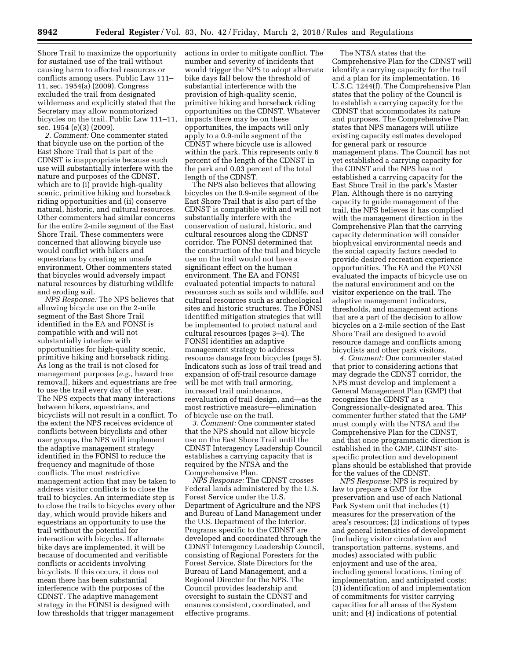Shore Trail to maximize the opportunity for sustained use of the trail without causing harm to affected resources or conflicts among users. Public Law 111– 11, sec. 1954(a) (2009). Congress excluded the trail from designated wilderness and explicitly stated that the Secretary may allow nonmotorized bicycles on the trail. Public Law 111–11, sec. 1954 (e)(3) (2009).

*2. Comment:* One commenter stated that bicycle use on the portion of the East Shore Trail that is part of the CDNST is inappropriate because such use will substantially interfere with the nature and purposes of the CDNST, which are to (i) provide high-quality scenic, primitive hiking and horseback riding opportunities and (ii) conserve natural, historic, and cultural resources. Other commenters had similar concerns for the entire 2-mile segment of the East Shore Trail. These commenters were concerned that allowing bicycle use would conflict with hikers and equestrians by creating an unsafe environment. Other commenters stated that bicycles would adversely impact natural resources by disturbing wildlife and eroding soil.

*NPS Response:* The NPS believes that allowing bicycle use on the 2-mile segment of the East Shore Trail identified in the EA and FONSI is compatible with and will not substantially interfere with opportunities for high-quality scenic, primitive hiking and horseback riding. As long as the trail is not closed for management purposes (*e.g.,* hazard tree removal), hikers and equestrians are free to use the trail every day of the year. The NPS expects that many interactions between hikers, equestrians, and bicyclists will not result in a conflict. To the extent the NPS receives evidence of conflicts between bicyclists and other user groups, the NPS will implement the adaptive management strategy identified in the FONSI to reduce the frequency and magnitude of those conflicts. The most restrictive management action that may be taken to address visitor conflicts is to close the trail to bicycles. An intermediate step is to close the trails to bicycles every other day, which would provide hikers and equestrians an opportunity to use the trail without the potential for interaction with bicycles. If alternate bike days are implemented, it will be because of documented and verifiable conflicts or accidents involving bicyclists. If this occurs, it does not mean there has been substantial interference with the purposes of the CDNST. The adaptive management strategy in the FONSI is designed with low thresholds that trigger management

actions in order to mitigate conflict. The number and severity of incidents that would trigger the NPS to adopt alternate bike days fall below the threshold of substantial interference with the provision of high-quality scenic, primitive hiking and horseback riding opportunities on the CDNST. Whatever impacts there may be on these opportunities, the impacts will only apply to a 0.9-mile segment of the CDNST where bicycle use is allowed within the park. This represents only 6 percent of the length of the CDNST in the park and 0.03 percent of the total length of the CDNST.

The NPS also believes that allowing bicycles on the 0.9-mile segment of the East Shore Trail that is also part of the CDNST is compatible with and will not substantially interfere with the conservation of natural, historic, and cultural resources along the CDNST corridor. The FONSI determined that the construction of the trail and bicycle use on the trail would not have a significant effect on the human environment. The EA and FONSI evaluated potential impacts to natural resources such as soils and wildlife, and cultural resources such as archeological sites and historic structures. The FONSI identified mitigation strategies that will be implemented to protect natural and cultural resources (pages 3–4). The FONSI identifies an adaptive management strategy to address resource damage from bicycles (page 5). Indicators such as loss of trail tread and expansion of off-trail resource damage will be met with trail armoring, increased trail maintenance, reevaluation of trail design, and—as the most restrictive measure—elimination of bicycle use on the trail.

*3. Comment:* One commenter stated that the NPS should not allow bicycle use on the East Shore Trail until the CDNST Interagency Leadership Council establishes a carrying capacity that is required by the NTSA and the Comprehensive Plan.

*NPS Response:* The CDNST crosses Federal lands administered by the U.S. Forest Service under the U.S. Department of Agriculture and the NPS and Bureau of Land Management under the U.S. Department of the Interior. Programs specific to the CDNST are developed and coordinated through the CDNST Interagency Leadership Council, consisting of Regional Foresters for the Forest Service, State Directors for the Bureau of Land Management, and a Regional Director for the NPS. The Council provides leadership and oversight to sustain the CDNST and ensures consistent, coordinated, and effective programs.

The NTSA states that the Comprehensive Plan for the CDNST will identify a carrying capacity for the trail and a plan for its implementation. 16 U.S.C. 1244(f). The Comprehensive Plan states that the policy of the Council is to establish a carrying capacity for the CDNST that accommodates its nature and purposes. The Comprehensive Plan states that NPS managers will utilize existing capacity estimates developed for general park or resource management plans. The Council has not yet established a carrying capacity for the CDNST and the NPS has not established a carrying capacity for the East Shore Trail in the park's Master Plan. Although there is no carrying capacity to guide management of the trail, the NPS believes it has complied with the management direction in the Comprehensive Plan that the carrying capacity determination will consider biophysical environmental needs and the social capacity factors needed to provide desired recreation experience opportunities. The EA and the FONSI evaluated the impacts of bicycle use on the natural environment and on the visitor experience on the trail. The adaptive management indicators, thresholds, and management actions that are a part of the decision to allow bicycles on a 2-mile section of the East Shore Trail are designed to avoid resource damage and conflicts among bicyclists and other park visitors.

*4. Comment:* One commenter stated that prior to considering actions that may degrade the CDNST corridor, the NPS must develop and implement a General Management Plan (GMP) that recognizes the CDNST as a Congressionally-designated area. This commenter further stated that the GMP must comply with the NTSA and the Comprehensive Plan for the CDNST, and that once programmatic direction is established in the GMP, CDNST sitespecific protection and development plans should be established that provide for the values of the CDNST.

*NPS Response:* NPS is required by law to prepare a GMP for the preservation and use of each National Park System unit that includes (1) measures for the preservation of the area's resources; (2) indications of types and general intensities of development (including visitor circulation and transportation patterns, systems, and modes) associated with public enjoyment and use of the area, including general locations, timing of implementation, and anticipated costs; (3) identification of and implementation of commitments for visitor carrying capacities for all areas of the System unit; and (4) indications of potential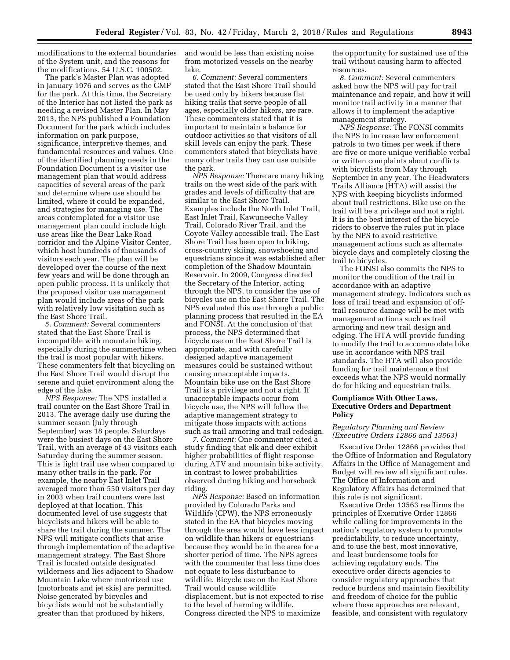modifications to the external boundaries of the System unit, and the reasons for the modifications. 54 U.S.C. 100502.

The park's Master Plan was adopted in January 1976 and serves as the GMP for the park. At this time, the Secretary of the Interior has not listed the park as needing a revised Master Plan. In May 2013, the NPS published a Foundation Document for the park which includes information on park purpose, significance, interpretive themes, and fundamental resources and values. One of the identified planning needs in the Foundation Document is a visitor use management plan that would address capacities of several areas of the park and determine where use should be limited, where it could be expanded, and strategies for managing use. The areas contemplated for a visitor use management plan could include high use areas like the Bear Lake Road corridor and the Alpine Visitor Center, which host hundreds of thousands of visitors each year. The plan will be developed over the course of the next few years and will be done through an open public process. It is unlikely that the proposed visitor use management plan would include areas of the park with relatively low visitation such as the East Shore Trail.

*5. Comment:* Several commenters stated that the East Shore Trail is incompatible with mountain biking, especially during the summertime when the trail is most popular with hikers. These commenters felt that bicycling on the East Shore Trail would disrupt the serene and quiet environment along the edge of the lake.

*NPS Response:* The NPS installed a trail counter on the East Shore Trail in 2013. The average daily use during the summer season (July through September) was 18 people. Saturdays were the busiest days on the East Shore Trail, with an average of 43 visitors each Saturday during the summer season. This is light trail use when compared to many other trails in the park. For example, the nearby East Inlet Trail averaged more than 550 visitors per day in 2003 when trail counters were last deployed at that location. This documented level of use suggests that bicyclists and hikers will be able to share the trail during the summer. The NPS will mitigate conflicts that arise through implementation of the adaptive management strategy. The East Shore Trail is located outside designated wilderness and lies adjacent to Shadow Mountain Lake where motorized use (motorboats and jet skis) are permitted. Noise generated by bicycles and bicyclists would not be substantially greater than that produced by hikers,

and would be less than existing noise from motorized vessels on the nearby lake.

*6. Comment:* Several commenters stated that the East Shore Trail should be used only by hikers because flat hiking trails that serve people of all ages, especially older hikers, are rare. These commenters stated that it is important to maintain a balance for outdoor activities so that visitors of all skill levels can enjoy the park. These commenters stated that bicyclists have many other trails they can use outside the park.

*NPS Response:* There are many hiking trails on the west side of the park with grades and levels of difficulty that are similar to the East Shore Trail. Examples include the North Inlet Trail, East Inlet Trail, Kawuneeche Valley Trail, Colorado River Trail, and the Coyote Valley accessible trail. The East Shore Trail has been open to hiking, cross-country skiing, snowshoeing and equestrians since it was established after completion of the Shadow Mountain Reservoir. In 2009, Congress directed the Secretary of the Interior, acting through the NPS, to consider the use of bicycles use on the East Shore Trail. The NPS evaluated this use through a public planning process that resulted in the EA and FONSI. At the conclusion of that process, the NPS determined that bicycle use on the East Shore Trail is appropriate, and with carefully designed adaptive management measures could be sustained without causing unacceptable impacts. Mountain bike use on the East Shore Trail is a privilege and not a right. If unacceptable impacts occur from bicycle use, the NPS will follow the adaptive management strategy to mitigate those impacts with actions such as trail armoring and trail redesign.

*7. Comment:* One commenter cited a study finding that elk and deer exhibit higher probabilities of flight response during ATV and mountain bike activity, in contrast to lower probabilities observed during hiking and horseback riding.

*NPS Response:* Based on information provided by Colorado Parks and Wildlife (CPW), the NPS erroneously stated in the EA that bicycles moving through the area would have less impact on wildlife than hikers or equestrians because they would be in the area for a shorter period of time. The NPS agrees with the commenter that less time does not equate to less disturbance to wildlife. Bicycle use on the East Shore Trail would cause wildlife displacement, but is not expected to rise to the level of harming wildlife. Congress directed the NPS to maximize

the opportunity for sustained use of the trail without causing harm to affected resources.

*8. Comment:* Several commenters asked how the NPS will pay for trail maintenance and repair, and how it will monitor trail activity in a manner that allows it to implement the adaptive management strategy.

*NPS Response:* The FONSI commits the NPS to increase law enforcement patrols to two times per week if there are five or more unique verifiable verbal or written complaints about conflicts with bicyclists from May through September in any year. The Headwaters Trails Alliance (HTA) will assist the NPS with keeping bicyclists informed about trail restrictions. Bike use on the trail will be a privilege and not a right. It is in the best interest of the bicycle riders to observe the rules put in place by the NPS to avoid restrictive management actions such as alternate bicycle days and completely closing the trail to bicycles.

The FONSI also commits the NPS to monitor the condition of the trail in accordance with an adaptive management strategy. Indicators such as loss of trail tread and expansion of offtrail resource damage will be met with management actions such as trail armoring and new trail design and edging. The HTA will provide funding to modify the trail to accommodate bike use in accordance with NPS trail standards. The HTA will also provide funding for trail maintenance that exceeds what the NPS would normally do for hiking and equestrian trails.

# **Compliance With Other Laws, Executive Orders and Department Policy**

### *Regulatory Planning and Review (Executive Orders 12866 and 13563)*

Executive Order 12866 provides that the Office of Information and Regulatory Affairs in the Office of Management and Budget will review all significant rules. The Office of Information and Regulatory Affairs has determined that this rule is not significant.

Executive Order 13563 reaffirms the principles of Executive Order 12866 while calling for improvements in the nation's regulatory system to promote predictability, to reduce uncertainty, and to use the best, most innovative, and least burdensome tools for achieving regulatory ends. The executive order directs agencies to consider regulatory approaches that reduce burdens and maintain flexibility and freedom of choice for the public where these approaches are relevant, feasible, and consistent with regulatory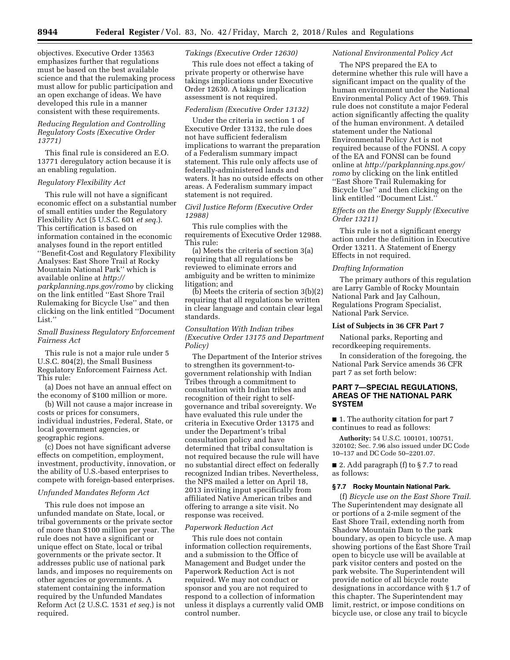objectives. Executive Order 13563 emphasizes further that regulations must be based on the best available science and that the rulemaking process must allow for public participation and an open exchange of ideas. We have developed this rule in a manner consistent with these requirements.

### *Reducing Regulation and Controlling Regulatory Costs (Executive Order 13771)*

This final rule is considered an E.O. 13771 deregulatory action because it is an enabling regulation.

### *Regulatory Flexibility Act*

This rule will not have a significant economic effect on a substantial number of small entities under the Regulatory Flexibility Act (5 U.S.C. 601 *et seq.*). This certification is based on information contained in the economic analyses found in the report entitled ''Benefit-Cost and Regulatory Flexibility Analyses: East Shore Trail at Rocky Mountain National Park'' which is available online at *[http://](http://parkplanning.nps.gov/romo) [parkplanning.nps.gov/romo](http://parkplanning.nps.gov/romo)* by clicking on the link entitled ''East Shore Trail Rulemaking for Bicycle Use'' and then clicking on the link entitled ''Document List.''

# *Small Business Regulatory Enforcement Fairness Act*

This rule is not a major rule under 5 U.S.C. 804(2), the Small Business Regulatory Enforcement Fairness Act. This rule:

(a) Does not have an annual effect on the economy of \$100 million or more.

(b) Will not cause a major increase in costs or prices for consumers, individual industries, Federal, State, or local government agencies, or geographic regions.

(c) Does not have significant adverse effects on competition, employment, investment, productivity, innovation, or the ability of U.S.-based enterprises to compete with foreign-based enterprises.

#### *Unfunded Mandates Reform Act*

This rule does not impose an unfunded mandate on State, local, or tribal governments or the private sector of more than \$100 million per year. The rule does not have a significant or unique effect on State, local or tribal governments or the private sector. It addresses public use of national park lands, and imposes no requirements on other agencies or governments. A statement containing the information required by the Unfunded Mandates Reform Act (2 U.S.C. 1531 *et seq.*) is not required.

#### *Takings (Executive Order 12630)*

This rule does not effect a taking of private property or otherwise have takings implications under Executive Order 12630. A takings implication assessment is not required.

#### *Federalism (Executive Order 13132)*

Under the criteria in section 1 of Executive Order 13132, the rule does not have sufficient federalism implications to warrant the preparation of a Federalism summary impact statement. This rule only affects use of federally-administered lands and waters. It has no outside effects on other areas. A Federalism summary impact statement is not required.

#### *Civil Justice Reform (Executive Order 12988)*

This rule complies with the requirements of Executive Order 12988. This rule:

(a) Meets the criteria of section 3(a) requiring that all regulations be reviewed to eliminate errors and ambiguity and be written to minimize litigation; and

(b) Meets the criteria of section 3(b)(2) requiring that all regulations be written in clear language and contain clear legal standards.

*Consultation With Indian tribes (Executive Order 13175 and Department Policy)* 

The Department of the Interior strives to strengthen its government-togovernment relationship with Indian Tribes through a commitment to consultation with Indian tribes and recognition of their right to selfgovernance and tribal sovereignty. We have evaluated this rule under the criteria in Executive Order 13175 and under the Department's tribal consultation policy and have determined that tribal consultation is not required because the rule will have no substantial direct effect on federally recognized Indian tribes. Nevertheless, the NPS mailed a letter on April 18, 2013 inviting input specifically from affiliated Native American tribes and offering to arrange a site visit. No response was received.

#### *Paperwork Reduction Act*

This rule does not contain information collection requirements, and a submission to the Office of Management and Budget under the Paperwork Reduction Act is not required. We may not conduct or sponsor and you are not required to respond to a collection of information unless it displays a currently valid OMB control number.

#### *National Environmental Policy Act*

The NPS prepared the EA to determine whether this rule will have a significant impact on the quality of the human environment under the National Environmental Policy Act of 1969. This rule does not constitute a major Federal action significantly affecting the quality of the human environment. A detailed statement under the National Environmental Policy Act is not required because of the FONSI. A copy of the EA and FONSI can be found online at *[http://parkplanning.nps.gov/](http://parkplanning.nps.gov/romo) [romo](http://parkplanning.nps.gov/romo)* by clicking on the link entitled ''East Shore Trail Rulemaking for Bicycle Use'' and then clicking on the link entitled ''Document List.''

## *Effects on the Energy Supply (Executive Order 13211)*

This rule is not a significant energy action under the definition in Executive Order 13211. A Statement of Energy Effects in not required.

#### *Drafting Information*

The primary authors of this regulation are Larry Gamble of Rocky Mountain National Park and Jay Calhoun, Regulations Program Specialist, National Park Service.

### **List of Subjects in 36 CFR Part 7**

National parks, Reporting and recordkeeping requirements.

In consideration of the foregoing, the National Park Service amends 36 CFR part 7 as set forth below:

# **PART 7—SPECIAL REGULATIONS, AREAS OF THE NATIONAL PARK SYSTEM**

■ 1. The authority citation for part 7 continues to read as follows:

**Authority:** 54 U.S.C. 100101, 100751, 320102; Sec. 7.96 also issued under DC Code 10–137 and DC Code 50–2201.07.

■ 2. Add paragraph (f) to § 7.7 to read as follows:

#### **§ 7.7 Rocky Mountain National Park.**

(f) *Bicycle use on the East Shore Trail.*  The Superintendent may designate all or portions of a 2-mile segment of the East Shore Trail, extending north from Shadow Mountain Dam to the park boundary, as open to bicycle use. A map showing portions of the East Shore Trail open to bicycle use will be available at park visitor centers and posted on the park website. The Superintendent will provide notice of all bicycle route designations in accordance with § 1.7 of this chapter. The Superintendent may limit, restrict, or impose conditions on bicycle use, or close any trail to bicycle